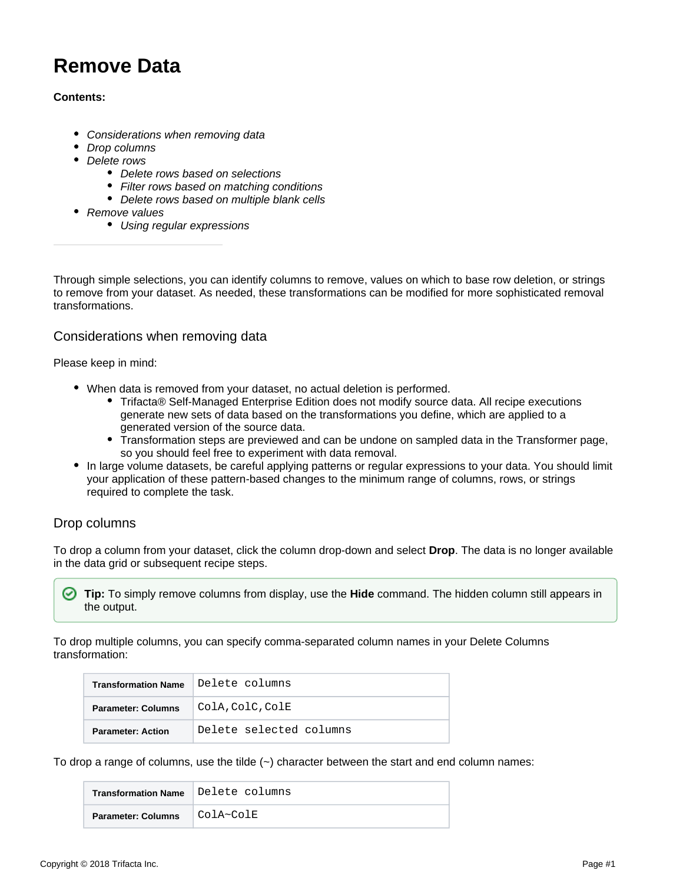# <span id="page-0-2"></span>**Remove Data**

## **Contents:**

- [Considerations when removing data](#page-0-0)
- [Drop columns](#page-0-1)
- [Delete rows](#page-1-0)
	- [Delete rows based on selections](#page-1-1)
	- [Filter rows based on matching conditions](#page-2-0)
	- [Delete rows based on multiple blank cells](#page-2-1)
- [Remove values](#page-2-2)
	- [Using regular expressions](#page-3-0)

Through simple selections, you can identify columns to remove, values on which to base row deletion, or strings to remove from your dataset. As needed, these transformations can be modified for more sophisticated removal transformations.

# <span id="page-0-0"></span>Considerations when removing data

#### Please keep in mind:

- When data is removed from your dataset, no actual deletion is performed.
	- Trifacta® Self-Managed Enterprise Edition does not modify source data. All recipe executions generate new sets of data based on the transformations you define, which are applied to a generated version of the source data.
	- Transformation steps are previewed and can be undone on sampled data in the Transformer page, so you should feel free to experiment with data removal.
- In large volume datasets, be careful applying patterns or regular expressions to your data. You should limit your application of these pattern-based changes to the minimum range of columns, rows, or strings required to complete the task.

# <span id="page-0-1"></span>Drop columns

To drop a column from your dataset, click the column drop-down and select **Drop**. The data is no longer available in the data grid or subsequent recipe steps.

**Tip:** To simply remove columns from display, use the **Hide** command. The hidden column still appears in the output.

To drop multiple columns, you can specify comma-separated column names in your Delete Columns transformation:

| <b>Transformation Name</b> | Delete columns          |
|----------------------------|-------------------------|
| <b>Parameter: Columns</b>  | ColA, ColC, ColE        |
| <b>Parameter: Action</b>   | Delete selected columns |

To drop a range of columns, use the tilde  $(\sim)$  character between the start and end column names:

| <b>Transformation Name</b> | Delete columns |
|----------------------------|----------------|
| <b>Parameter: Columns</b>  | ColA~ColE      |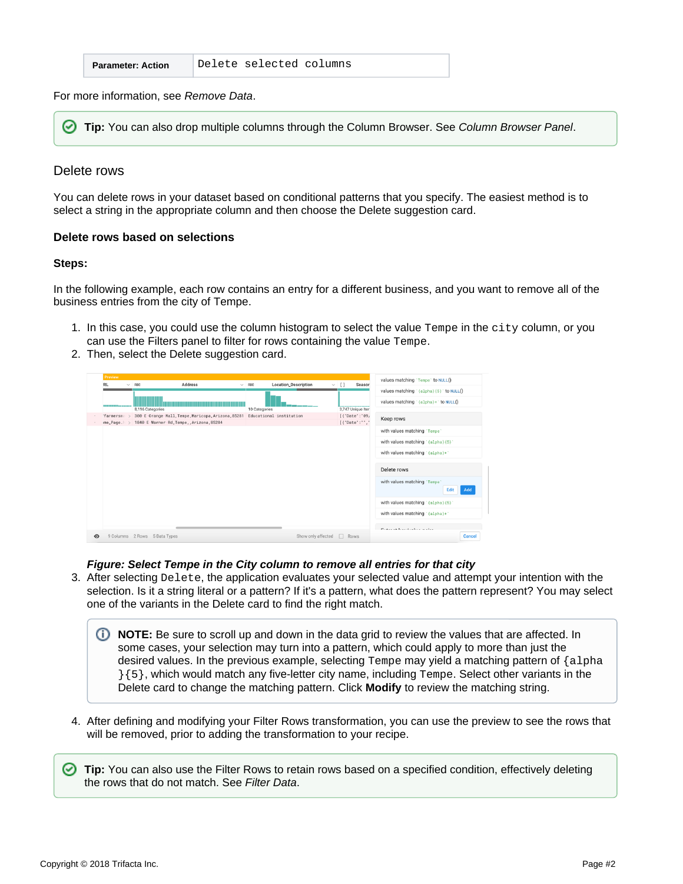| <b>Parameter: Action</b> |  | Delete selected columns |  |
|--------------------------|--|-------------------------|--|
|--------------------------|--|-------------------------|--|

For more information, see [Remove Data](#page-0-2).

の **Tip:** You can also drop multiple columns through the Column Browser. See [Column Browser Panel](https://docs.trifacta.com/display/r051/Column+Browser+Panel).

#### <span id="page-1-0"></span>Delete rows

You can delete rows in your dataset based on conditional patterns that you specify. The easiest method is to select a string in the appropriate column and then choose the Delete suggestion card.

#### <span id="page-1-1"></span>**Delete rows based on selections**

#### **Steps:**

In the following example, each row contains an entry for a different business, and you want to remove all of the business entries from the city of Tempe.

- 1. In this case, you could use the column histogram to select the value Tempe in the city column, or you can use the Filters panel to filter for rows containing the value Tempe.
- 2. Then, select the Delete suggestion card.



**Figure: Select Tempe in the City column to remove all entries for that city**

3. After selecting Delete, the application evaluates your selected value and attempt your intention with the selection. Is it a string literal or a pattern? If it's a pattern, what does the pattern represent? You may select one of the variants in the Delete card to find the right match.

(i) **NOTE:** Be sure to scroll up and down in the data grid to review the values that are affected. In some cases, your selection may turn into a pattern, which could apply to more than just the desired values. In the previous example, selecting Tempe may yield a matching pattern of {alpha  $\{5\}$ , which would match any five-letter city name, including  $T$ empe. Select other variants in the Delete card to change the matching pattern. Click **Modify** to review the matching string.

4. After defining and modifying your Filter Rows transformation, you can use the preview to see the rows that will be removed, prior to adding the transformation to your recipe.

**Tip:** You can also use the Filter Rows to retain rows based on a specified condition, effectively deleting the rows that do not match. See [Filter Data](https://docs.trifacta.com/display/r051/Filter+Data).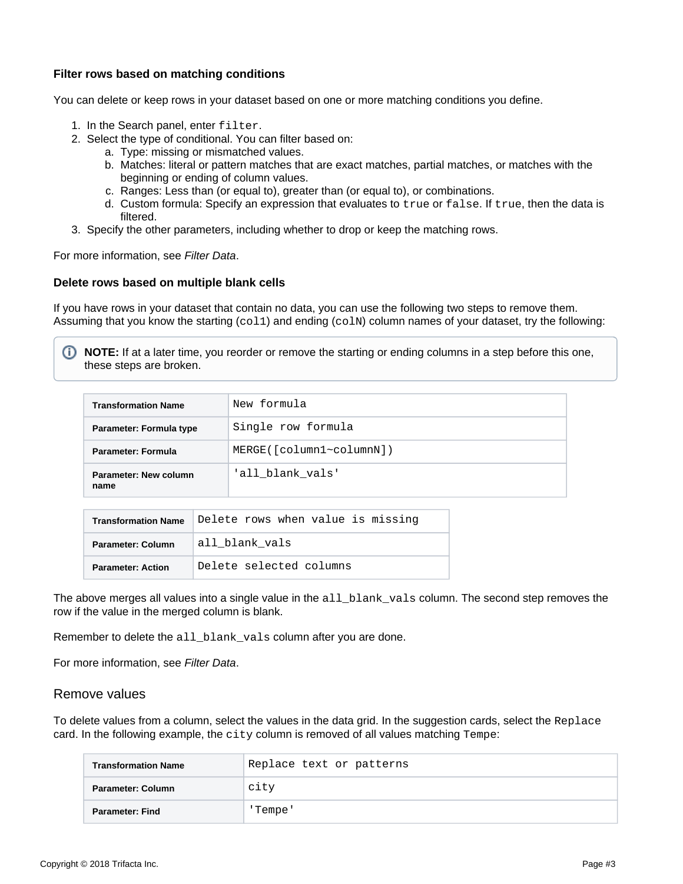# <span id="page-2-0"></span>**Filter rows based on matching conditions**

You can delete or keep rows in your dataset based on one or more matching conditions you define.

- 1. In the Search panel, enter filter.
- 2. Select the type of conditional. You can filter based on:
	- a. Type: missing or mismatched values.
	- b. Matches: literal or pattern matches that are exact matches, partial matches, or matches with the beginning or ending of column values.
	- c. Ranges: Less than (or equal to), greater than (or equal to), or combinations.
	- d. Custom formula: Specify an expression that evaluates to true or false. If true, then the data is filtered.
- 3. Specify the other parameters, including whether to drop or keep the matching rows.

For more information, see [Filter Data](https://docs.trifacta.com/display/r051/Filter+Data).

#### <span id="page-2-1"></span>**Delete rows based on multiple blank cells**

If you have rows in your dataset that contain no data, you can use the following two steps to remove them. Assuming that you know the starting  $(col1)$  and ending  $(colN)$  column names of your dataset, try the following:

**NOTE:** If at a later time, you reorder or remove the starting or ending columns in a step before this one, these steps are broken.

| <b>Transformation Name</b>    | New formula             |
|-------------------------------|-------------------------|
| Parameter: Formula type       | Single row formula      |
| Parameter: Formula            | MERGE([column1~column]) |
| Parameter: New column<br>name | 'all blank vals'        |

| <b>Transformation Name</b> | Delete rows when value is missing |
|----------------------------|-----------------------------------|
| Parameter: Column          | all blank vals                    |
| <b>Parameter: Action</b>   | Delete selected columns           |

The above merges all values into a single value in the all blank vals column. The second step removes the row if the value in the merged column is blank.

Remember to delete the all\_blank\_vals column after you are done.

For more information, see [Filter Data](https://docs.trifacta.com/display/r051/Filter+Data).

#### <span id="page-2-2"></span>Remove values

To delete values from a column, select the values in the data grid. In the suggestion cards, select the Replace card. In the following example, the city column is removed of all values matching  $T$ empe:

| <b>Transformation Name</b> | Replace text or patterns |
|----------------------------|--------------------------|
| Parameter: Column          | city                     |
| Parameter: Find            | 'Tempe'                  |